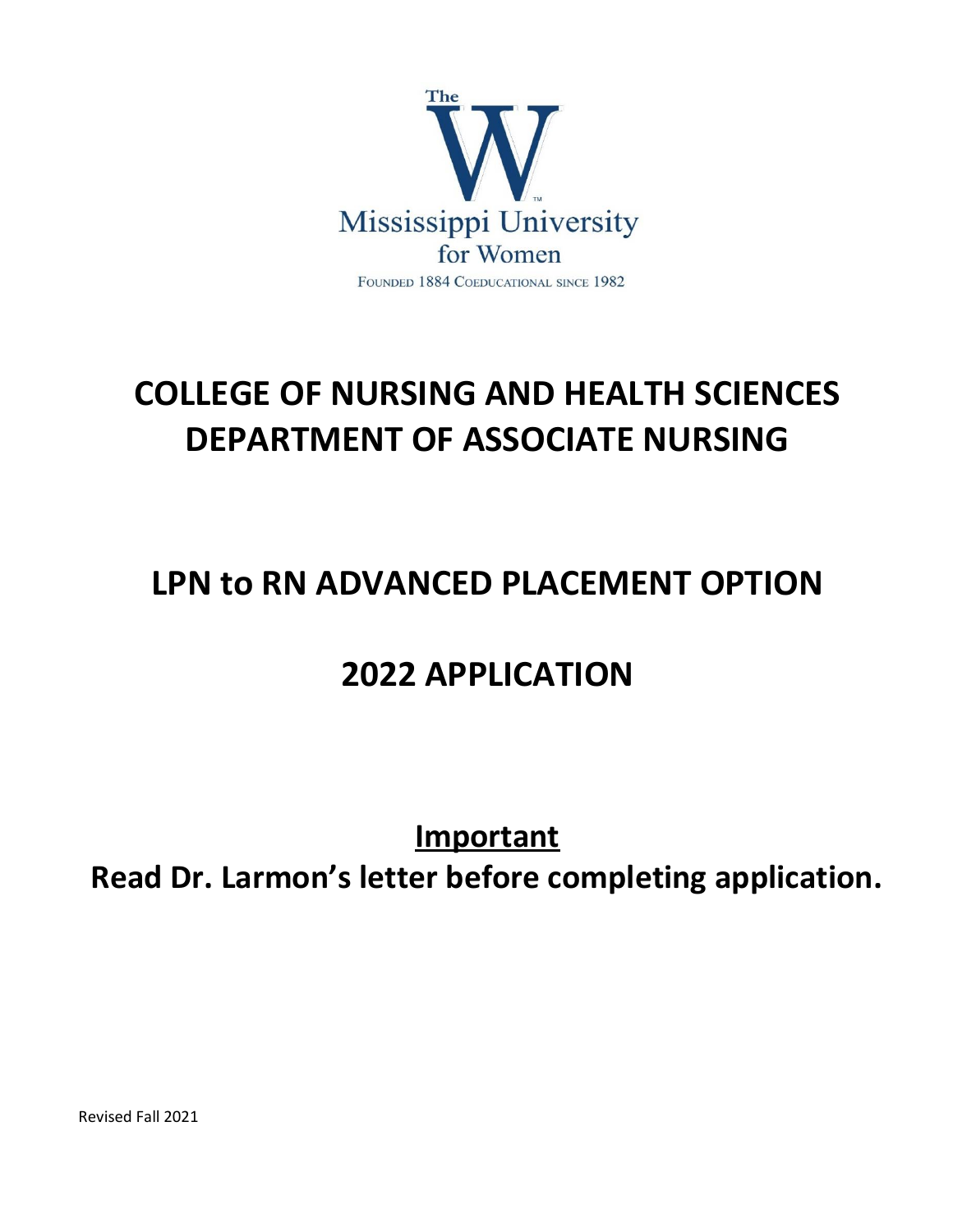

# **COLLEGE OF NURSING AND HEALTH SCIENCES DEPARTMENT OF ASSOCIATE NURSING**

## **LPN to RN ADVANCED PLACEMENT OPTION**

## **2022 APPLICATION**

## **Important**

**Read Dr. Larmon's letter before completing application.**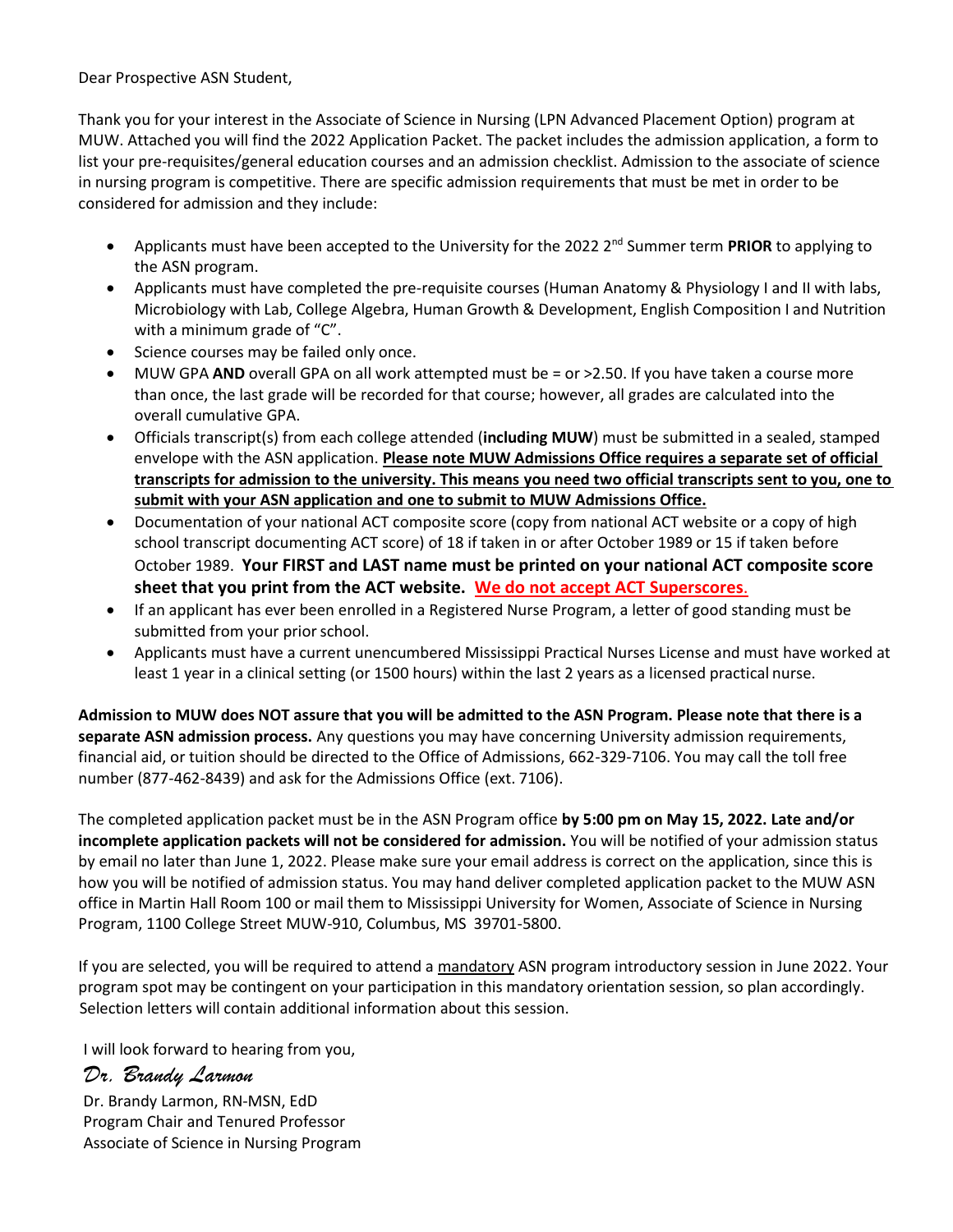Dear Prospective ASN Student,

Thank you for your interest in the Associate of Science in Nursing (LPN Advanced Placement Option) program at MUW. Attached you will find the 2022 Application Packet. The packet includes the admission application, a form to list your pre-requisites/general education courses and an admission checklist. Admission to the associate of science in nursing program is competitive. There are specific admission requirements that must be met in order to be considered for admission and they include:

- Applicants must have been accepted to the University for the 2022 2 nd Summer term **PRIOR** to applying to the ASN program.
- Applicants must have completed the pre-requisite courses (Human Anatomy & Physiology I and II with labs, Microbiology with Lab, College Algebra, Human Growth & Development, English Composition I and Nutrition with a minimum grade of "C".
- Science courses may be failed only once.
- MUW GPA **AND** overall GPA on all work attempted must be = or >2.50. If you have taken a course more than once, the last grade will be recorded for that course; however, all grades are calculated into the overall cumulative GPA.
- Officials transcript(s) from each college attended (**including MUW**) must be submitted in a sealed, stamped envelope with the ASN application. **Please note MUW Admissions Office requires a separate set of official transcripts for admission to the university. This means you need two official transcripts sent to you, one to submit with your ASN application and one to submit to MUW Admissions Office.**
- Documentation of your national ACT composite score (copy from national ACT website or a copy of high school transcript documenting ACT score) of 18 if taken in or after October 1989 or 15 if taken before October 1989. **Your FIRST and LAST name must be printed on your national ACT composite score sheet that you print from the ACT website. We do not accept ACT Superscores**.
- If an applicant has ever been enrolled in a Registered Nurse Program, a letter of good standing must be submitted from your prior school.
- Applicants must have a current unencumbered Mississippi Practical Nurses License and must have worked at least 1 year in a clinical setting (or 1500 hours) within the last 2 years as a licensed practical nurse.

**Admission to MUW does NOT assure that you will be admitted to the ASN Program. Please note that there is a separate ASN admission process.** Any questions you may have concerning University admission requirements, financial aid, or tuition should be directed to the Office of Admissions, 662-329-7106. You may call the toll free number (877-462-8439) and ask for the Admissions Office (ext. 7106).

The completed application packet must be in the ASN Program office **by 5:00 pm on May 15, 2022. Late and/or incomplete application packets will not be considered for admission.** You will be notified of your admission status by email no later than June 1, 2022. Please make sure your email address is correct on the application, since this is how you will be notified of admission status. You may hand deliver completed application packet to the MUW ASN office in Martin Hall Room 100 or mail them to Mississippi University for Women, Associate of Science in Nursing Program, 1100 College Street MUW-910, Columbus, MS 39701-5800.

If you are selected, you will be required to attend a mandatory ASN program introductory session in June 2022. Your program spot may be contingent on your participation in this mandatory orientation session, so plan accordingly. Selection letters will contain additional information about this session.

I will look forward to hearing from you,

### *Dr. Brandy Larmon*

 Dr. Brandy Larmon, RN-MSN, EdD Program Chair and Tenured Professor Associate of Science in Nursing Program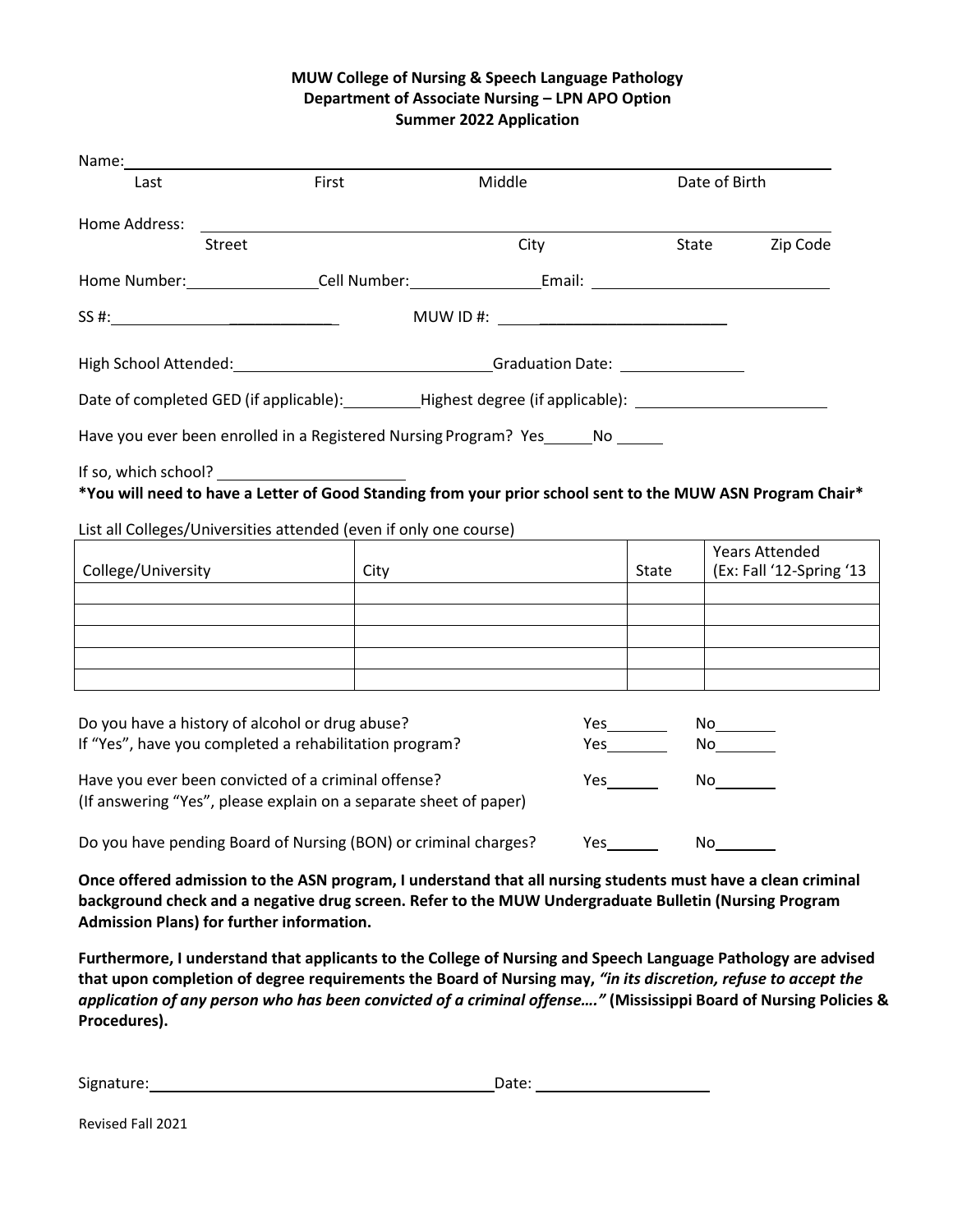#### **MUW College of Nursing & Speech Language Pathology Department of Associate Nursing – LPN APO Option Summer 2022 Application**

| Name: 1988                                                                                                |                                                                                                                          |                                            |               |                                                   |
|-----------------------------------------------------------------------------------------------------------|--------------------------------------------------------------------------------------------------------------------------|--------------------------------------------|---------------|---------------------------------------------------|
| Last                                                                                                      | First                                                                                                                    | Middle                                     | Date of Birth |                                                   |
| Home Address:                                                                                             |                                                                                                                          |                                            |               |                                                   |
| <b>Street</b>                                                                                             |                                                                                                                          | City                                       |               | State<br>Zip Code                                 |
|                                                                                                           |                                                                                                                          |                                            |               |                                                   |
| SS #:                                                                                                     |                                                                                                                          | MUW ID #: ________________________________ |               |                                                   |
|                                                                                                           |                                                                                                                          |                                            |               |                                                   |
|                                                                                                           | Date of completed GED (if applicable): __________Highest degree (if applicable): ___________________                     |                                            |               |                                                   |
|                                                                                                           | Have you ever been enrolled in a Registered Nursing Program? Yes ______ No ______                                        |                                            |               |                                                   |
|                                                                                                           | *You will need to have a Letter of Good Standing from your prior school sent to the MUW ASN Program Chair*               |                                            |               |                                                   |
|                                                                                                           | List all Colleges/Universities attended (even if only one course)                                                        |                                            |               |                                                   |
| College/University                                                                                        | City                                                                                                                     |                                            | State         | <b>Years Attended</b><br>(Ex: Fall '12-Spring '13 |
|                                                                                                           |                                                                                                                          |                                            |               |                                                   |
|                                                                                                           |                                                                                                                          |                                            |               |                                                   |
|                                                                                                           |                                                                                                                          |                                            |               |                                                   |
|                                                                                                           |                                                                                                                          |                                            |               | No                                                |
| Do you have a history of alcohol or drug abuse?<br>If "Yes", have you completed a rehabilitation program? |                                                                                                                          |                                            | <b>Yes</b>    | No                                                |
|                                                                                                           | Have you ever been convicted of a criminal offense?<br>(If answering "Yes", please explain on a separate sheet of paper) |                                            | Yes           | No                                                |
|                                                                                                           | Do you have pending Board of Nursing (BON) or criminal charges?                                                          |                                            |               |                                                   |

**Once offered admission to the ASN program, I understand that all nursing students must have a clean criminal background check and a negative drug screen. Refer to the MUW Undergraduate Bulletin (Nursing Program Admission Plans) for further information.**

**Furthermore, I understand that applicants to the College of Nursing and Speech Language Pathology are advised that upon completion of degree requirements the Board of Nursing may,** *"in its discretion, refuse to accept the application of any person who has been convicted of a criminal offense…."* **(Mississippi Board of Nursing Policies & Procedures).**

| Signature: | Date: |
|------------|-------|
|            |       |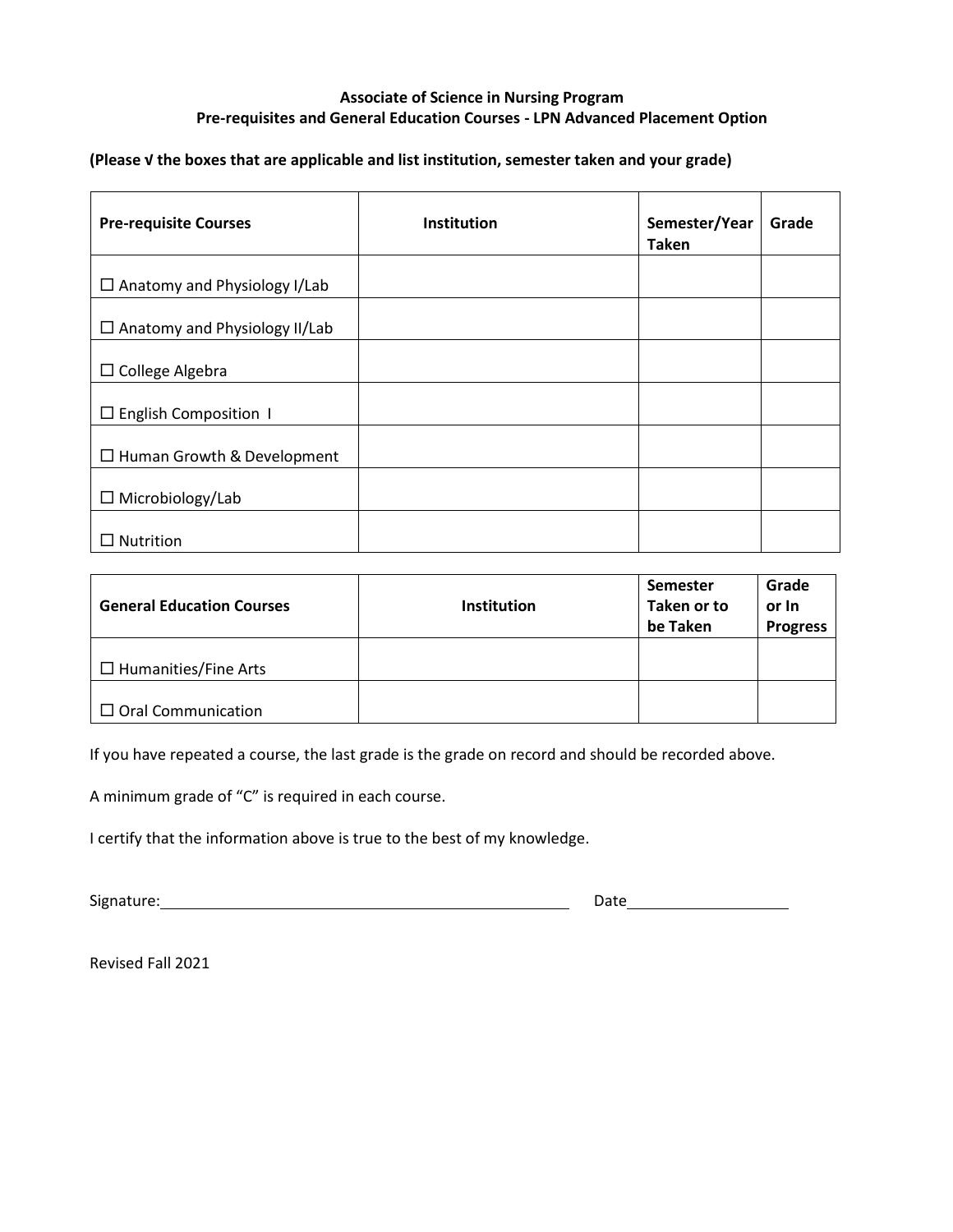#### **Associate of Science in Nursing Program Pre-requisites and General Education Courses - LPN Advanced Placement Option**

**(Please √ the boxes that are applicable and list institution, semester taken and your grade)**

| <b>Pre-requisite Courses</b>         | <b>Institution</b> | Semester/Year<br><b>Taken</b> | Grade |
|--------------------------------------|--------------------|-------------------------------|-------|
| $\Box$ Anatomy and Physiology I/Lab  |                    |                               |       |
| $\Box$ Anatomy and Physiology II/Lab |                    |                               |       |
| $\Box$ College Algebra               |                    |                               |       |
| $\Box$ English Composition 1         |                    |                               |       |
| $\Box$ Human Growth & Development    |                    |                               |       |
| $\Box$ Microbiology/Lab              |                    |                               |       |
| Nutrition                            |                    |                               |       |

| <b>General Education Courses</b> | <b>Institution</b> | <b>Semester</b><br>Taken or to<br>be Taken | Grade<br>or In<br><b>Progress</b> |
|----------------------------------|--------------------|--------------------------------------------|-----------------------------------|
| $\Box$ Humanities/Fine Arts      |                    |                                            |                                   |
| $\Box$ Oral Communication        |                    |                                            |                                   |

If you have repeated a course, the last grade is the grade on record and should be recorded above.

A minimum grade of "C" is required in each course.

I certify that the information above is true to the best of my knowledge.

Signature: Date